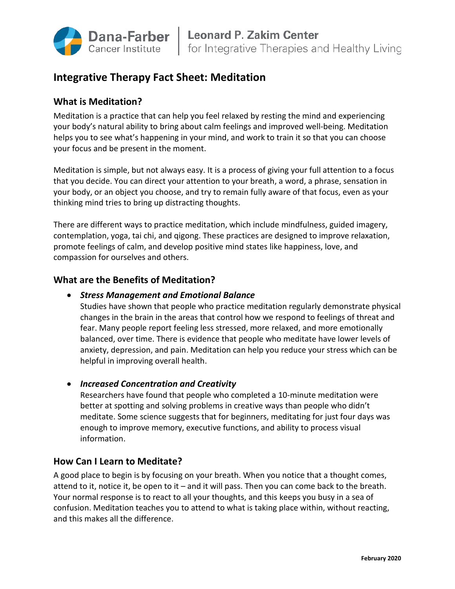

# **Integrative Therapy Fact Sheet: Meditation**

# **What is Meditation?**

Meditation is a practice that can help you feel relaxed by resting the mind and experiencing your body's natural ability to bring about calm feelings and improved well-being. Meditation helps you to see what's happening in your mind, and work to train it so that you can choose your focus and be present in the moment.

Meditation is simple, but not always easy. It is a process of giving your full attention to a focus that you decide. You can direct your attention to your breath, a word, a phrase, sensation in your body, or an object you choose, and try to remain fully aware of that focus, even as your thinking mind tries to bring up distracting thoughts.

There are different ways to practice meditation, which include mindfulness, guided imagery, contemplation, yoga, tai chi, and qigong. These practices are designed to improve relaxation, promote feelings of calm, and develop positive mind states like happiness, love, and compassion for ourselves and others.

# **What are the Benefits of Meditation?**

# • *Stress Management and Emotional Balance*

Studies have shown that people who practice meditation regularly demonstrate physical changes in the brain in the areas that control how we respond to feelings of threat and fear. Many people report feeling less stressed, more relaxed, and more emotionally balanced, over time. There is evidence that people who meditate have lower levels of anxiety, depression, and pain. Meditation can help you reduce your stress which can be helpful in improving overall health.

• *Increased Concentration and Creativity*

Researchers have found that people who completed a 10-minute meditation were better at spotting and solving problems in creative ways than people who didn't meditate. Some science suggests that for beginners, meditating for just four days was enough to improve memory, executive functions, and ability to process visual information.

# **How Can I Learn to Meditate?**

A good place to begin is by focusing on your breath. When you notice that a thought comes, attend to it, notice it, be open to it – and it will pass. Then you can come back to the breath. Your normal response is to react to all your thoughts, and this keeps you busy in a sea of confusion. Meditation teaches you to attend to what is taking place within, without reacting, and this makes all the difference.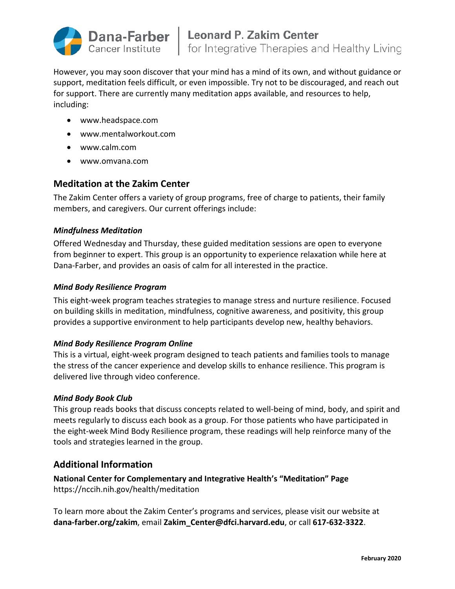

However, you may soon discover that your mind has a mind of its own, and without guidance or support, meditation feels difficult, or even impossible. Try not to be discouraged, and reach out for support. There are currently many meditation apps available, and resources to help, including:

- www.headspace.com
- www.mentalworkout.com
- www.calm.com
- www.omvana.com

# **Meditation at the Zakim Center**

The Zakim Center offers a variety of group programs, free of charge to patients, their family members, and caregivers. Our current offerings include:

#### *Mindfulness Meditation*

Offered Wednesday and Thursday, these guided meditation sessions are open to everyone from beginner to expert. This group is an opportunity to experience relaxation while here at Dana-Farber, and provides an oasis of calm for all interested in the practice.

#### *Mind Body Resilience Program*

This eight-week program teaches strategies to manage stress and nurture resilience. Focused on building skills in meditation, mindfulness, cognitive awareness, and positivity, this group provides a supportive environment to help participants develop new, healthy behaviors.

#### *Mind Body Resilience Program Online*

This is a virtual, eight-week program designed to teach patients and families tools to manage the stress of the cancer experience and develop skills to enhance resilience. This program is delivered live through video conference.

#### *Mind Body Book Club*

This group reads books that discuss concepts related to well-being of mind, body, and spirit and meets regularly to discuss each book as a group. For those patients who have participated in the eight-week Mind Body Resilience program, these readings will help reinforce many of the tools and strategies learned in the group.

# **Additional Information**

**National Center for Complementary and Integrative Health's "Meditation" Page** https://nccih.nih.gov/health/meditation

To learn more about the Zakim Center's programs and services, please visit our website at **dana-farber.org/zakim**, email **Zakim\_Center@dfci.harvard.edu**, or call **617-632-3322**.